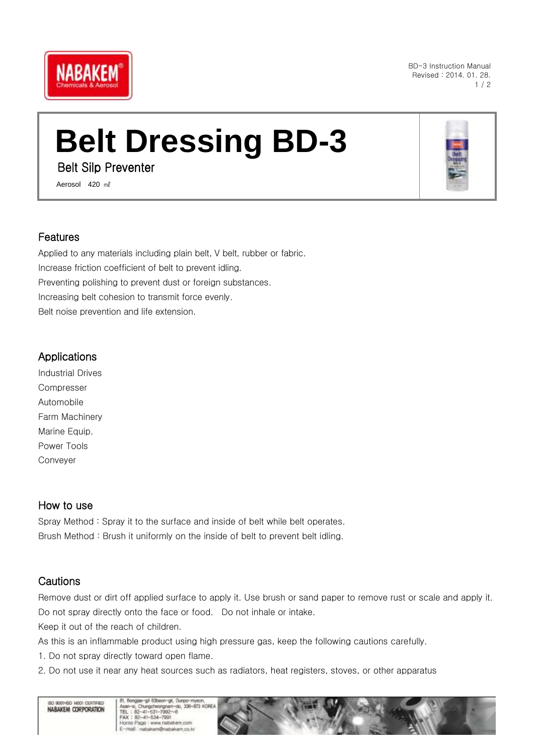

BD-3 Instruction Manual Revised : 2014. 01. 28.  $1/2$ 

# **Belt Dressing BD-3**

Belt Silp Preventer

Aerosol 420 ml

### Features

Applied to any materials including plain belt, V belt, rubber or fabric. Increase friction coefficient of belt to prevent idling. Preventing polishing to prevent dust or foreign substances. Increasing belt cohesion to transmit force evenly. Belt noise prevention and life extension.

## **Applications**

Industrial Drives Compresser Automobile Farm Machinery Marine Equip. Power Tools Conveyer

## How to use

Spray Method : Spray it to the surface and inside of belt while belt operates. Brush Method : Brush it uniformly on the inside of belt to prevent belt idling.

## **Cautions**

Remove dust or dirt off applied surface to apply it. Use brush or sand paper to remove rust or scale and apply it. Do not spray directly onto the face or food. Do not inhale or intake.

Keep it out of the reach of children.

As this is an inflammable product using high pressure gas, keep the following cautions carefully.

- 1. Do not spray directly toward open flame.
- 2. Do not use it near any heat sources such as radiators, heat registers, stoves, or other apparatus





Bongia al 63ben-al, Dungo-my or, borgae ga coolon gr, or<br>Asan-si, Chungcheongram-d<br>TEL: 82-41-531-7992~6<br>FAX: 82-41-534-7991 do 338-823 KOREA Home Page : www.nabakem.co E-mail: napakem@nabakem.co.kr